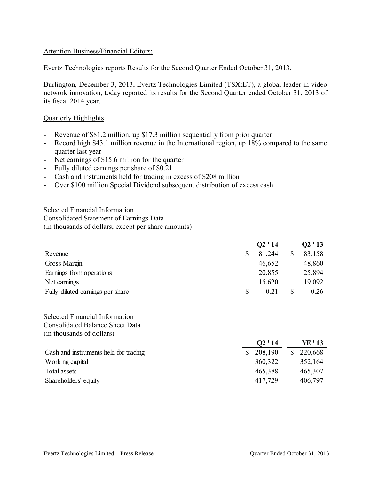# Attention Business/Financial Editors:

Evertz Technologies reports Results for the Second Quarter Ended October 31, 2013.

Burlington, December 3, 2013, Evertz Technologies Limited (TSX:ET), a global leader in video network innovation, today reported its results for the Second Quarter ended October 31, 2013 of its fiscal 2014 year.

### Quarterly Highlights

- Revenue of \$81.2 million, up \$17.3 million sequentially from prior quarter
- Record high \$43.1 million revenue in the International region, up 18% compared to the same quarter last year
- Net earnings of \$15.6 million for the quarter
- Fully diluted earnings per share of \$0.21
- Cash and instruments held for trading in excess of \$208 million
- Over \$100 million Special Dividend subsequent distribution of excess cash

Selected Financial Information Consolidated Statement of Earnings Data (in thousands of dollars, except per share amounts)

|                                  | Q2'14      | Q2 ' 13 |
|----------------------------------|------------|---------|
| Revenue                          | 81,244     | 83,158  |
| Gross Margin                     | 46,652     | 48,860  |
| Earnings from operations         | 20,855     | 25,894  |
| Net earnings                     | 15,620     | 19,092  |
| Fully-diluted earnings per share | \$<br>0.21 | 0.26    |

Selected Financial Information Consolidated Balance Sheet Data (in thousands of dollars)

|                                       | Q2'14   | YE ' 13       |
|---------------------------------------|---------|---------------|
| Cash and instruments held for trading | 208,190 | 220,668<br>S. |
| Working capital                       | 360,322 | 352,164       |
| Total assets                          | 465,388 | 465,307       |
| Shareholders' equity                  | 417,729 | 406,797       |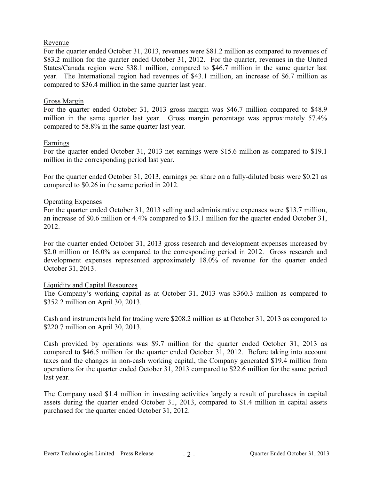### Revenue

For the quarter ended October 31, 2013, revenues were \$81.2 million as compared to revenues of \$83.2 million for the quarter ended October 31, 2012. For the quarter, revenues in the United States/Canada region were \$38.1 million, compared to \$46.7 million in the same quarter last year. The International region had revenues of \$43.1 million, an increase of \$6.7 million as compared to \$36.4 million in the same quarter last year.

# Gross Margin

For the quarter ended October 31, 2013 gross margin was \$46.7 million compared to \$48.9 million in the same quarter last year. Gross margin percentage was approximately 57.4% compared to 58.8% in the same quarter last year.

# Earnings

For the quarter ended October 31, 2013 net earnings were \$15.6 million as compared to \$19.1 million in the corresponding period last year.

For the quarter ended October 31, 2013, earnings per share on a fully-diluted basis were \$0.21 as compared to \$0.26 in the same period in 2012.

# Operating Expenses

For the quarter ended October 31, 2013 selling and administrative expenses were \$13.7 million, an increase of \$0.6 million or 4.4% compared to \$13.1 million for the quarter ended October 31, 2012.

For the quarter ended October 31, 2013 gross research and development expenses increased by \$2.0 million or 16.0% as compared to the corresponding period in 2012. Gross research and development expenses represented approximately 18.0% of revenue for the quarter ended October 31, 2013.

#### Liquidity and Capital Resources

The Company's working capital as at October 31, 2013 was \$360.3 million as compared to \$352.2 million on April 30, 2013.

Cash and instruments held for trading were \$208.2 million as at October 31, 2013 as compared to \$220.7 million on April 30, 2013.

Cash provided by operations was \$9.7 million for the quarter ended October 31, 2013 as compared to \$46.5 million for the quarter ended October 31, 2012. Before taking into account taxes and the changes in non-cash working capital, the Company generated \$19.4 million from operations for the quarter ended October 31, 2013 compared to \$22.6 million for the same period last year.

The Company used \$1.4 million in investing activities largely a result of purchases in capital assets during the quarter ended October 31, 2013, compared to \$1.4 million in capital assets purchased for the quarter ended October 31, 2012.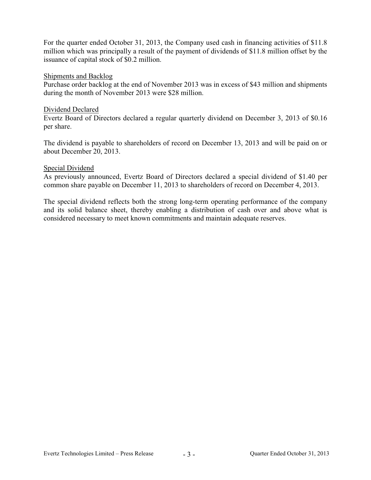For the quarter ended October 31, 2013, the Company used cash in financing activities of \$11.8 million which was principally a result of the payment of dividends of \$11.8 million offset by the issuance of capital stock of \$0.2 million.

### Shipments and Backlog

Purchase order backlog at the end of November 2013 was in excess of \$43 million and shipments during the month of November 2013 were \$28 million.

# Dividend Declared

Evertz Board of Directors declared a regular quarterly dividend on December 3, 2013 of \$0.16 per share.

The dividend is payable to shareholders of record on December 13, 2013 and will be paid on or about December 20, 2013.

# Special Dividend

As previously announced, Evertz Board of Directors declared a special dividend of \$1.40 per common share payable on December 11, 2013 to shareholders of record on December 4, 2013.

The special dividend reflects both the strong long-term operating performance of the company and its solid balance sheet, thereby enabling a distribution of cash over and above what is considered necessary to meet known commitments and maintain adequate reserves.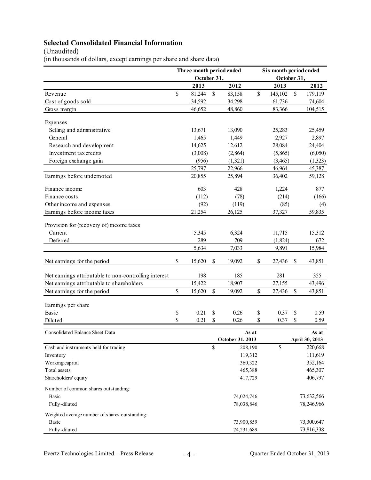# **Selected Consolidated Financial Information**

(Unaudited)

(in thousands of dollars, except earnings per share and share data)

| October 31,<br>October 31,<br>2012<br>2012<br>2013<br>2013<br>\$<br>$\$$<br>\$<br>\$<br>81,244<br>179,119<br>Revenue<br>83,158<br>145,102<br>34,298<br>Cost of goods sold<br>34,592<br>61,736<br>74,604<br>46,652<br>48,860<br>83,366<br>104,515<br>Gross margin<br>Expenses<br>Selling and administrative<br>13,671<br>13,090<br>25,283<br>25,459<br>2,927<br>General<br>1,465<br>1,449<br>24,404<br>Research and development<br>14,625<br>12,612<br>28,084<br>Investment tax credits<br>(6,050)<br>(3,008)<br>(2,864)<br>(5,865)<br>(956)<br>(1,321)<br>(1,323)<br>Foreign exchange gain<br>(3,465)<br>25,797<br>22,966<br>45,387<br>46,964<br>Earnings before undernoted<br>25,894<br>36,402<br>20,855<br>59,128<br>Finance income<br>603<br>428<br>1,224<br>Finance costs<br>(112)<br>(78)<br>(214) | Six month period ended |
|---------------------------------------------------------------------------------------------------------------------------------------------------------------------------------------------------------------------------------------------------------------------------------------------------------------------------------------------------------------------------------------------------------------------------------------------------------------------------------------------------------------------------------------------------------------------------------------------------------------------------------------------------------------------------------------------------------------------------------------------------------------------------------------------------------|------------------------|
|                                                                                                                                                                                                                                                                                                                                                                                                                                                                                                                                                                                                                                                                                                                                                                                                         |                        |
|                                                                                                                                                                                                                                                                                                                                                                                                                                                                                                                                                                                                                                                                                                                                                                                                         |                        |
|                                                                                                                                                                                                                                                                                                                                                                                                                                                                                                                                                                                                                                                                                                                                                                                                         |                        |
|                                                                                                                                                                                                                                                                                                                                                                                                                                                                                                                                                                                                                                                                                                                                                                                                         |                        |
|                                                                                                                                                                                                                                                                                                                                                                                                                                                                                                                                                                                                                                                                                                                                                                                                         |                        |
|                                                                                                                                                                                                                                                                                                                                                                                                                                                                                                                                                                                                                                                                                                                                                                                                         |                        |
|                                                                                                                                                                                                                                                                                                                                                                                                                                                                                                                                                                                                                                                                                                                                                                                                         |                        |
|                                                                                                                                                                                                                                                                                                                                                                                                                                                                                                                                                                                                                                                                                                                                                                                                         | 2,897                  |
|                                                                                                                                                                                                                                                                                                                                                                                                                                                                                                                                                                                                                                                                                                                                                                                                         |                        |
|                                                                                                                                                                                                                                                                                                                                                                                                                                                                                                                                                                                                                                                                                                                                                                                                         |                        |
|                                                                                                                                                                                                                                                                                                                                                                                                                                                                                                                                                                                                                                                                                                                                                                                                         |                        |
|                                                                                                                                                                                                                                                                                                                                                                                                                                                                                                                                                                                                                                                                                                                                                                                                         |                        |
|                                                                                                                                                                                                                                                                                                                                                                                                                                                                                                                                                                                                                                                                                                                                                                                                         |                        |
|                                                                                                                                                                                                                                                                                                                                                                                                                                                                                                                                                                                                                                                                                                                                                                                                         | 877                    |
|                                                                                                                                                                                                                                                                                                                                                                                                                                                                                                                                                                                                                                                                                                                                                                                                         | (166)                  |
| Other income and expenses<br>(92)<br>(119)<br>(85)                                                                                                                                                                                                                                                                                                                                                                                                                                                                                                                                                                                                                                                                                                                                                      | (4)                    |
| Earnings before income taxes<br>21,254<br>26,125<br>59,835<br>37,327                                                                                                                                                                                                                                                                                                                                                                                                                                                                                                                                                                                                                                                                                                                                    |                        |
|                                                                                                                                                                                                                                                                                                                                                                                                                                                                                                                                                                                                                                                                                                                                                                                                         |                        |
| Provision for (recovery of) income taxes                                                                                                                                                                                                                                                                                                                                                                                                                                                                                                                                                                                                                                                                                                                                                                |                        |
| Current<br>5,345<br>6,324<br>11,715<br>15,312                                                                                                                                                                                                                                                                                                                                                                                                                                                                                                                                                                                                                                                                                                                                                           |                        |
| Deferred<br>289<br>709<br>(1,824)                                                                                                                                                                                                                                                                                                                                                                                                                                                                                                                                                                                                                                                                                                                                                                       | 672                    |
| 5,634<br>9,891<br>15,984<br>7,033                                                                                                                                                                                                                                                                                                                                                                                                                                                                                                                                                                                                                                                                                                                                                                       |                        |
| \$<br>\$<br>Net earnings for the period<br>15,620<br>19,092<br>\$<br>43,851<br>\$<br>27,436                                                                                                                                                                                                                                                                                                                                                                                                                                                                                                                                                                                                                                                                                                             |                        |
| 198<br>185<br>281<br>Net earnings attributable to non-controlling interest<br>355                                                                                                                                                                                                                                                                                                                                                                                                                                                                                                                                                                                                                                                                                                                       |                        |
| Net earnings attributable to shareholders<br>15,422<br>18,907<br>27,155<br>43,496                                                                                                                                                                                                                                                                                                                                                                                                                                                                                                                                                                                                                                                                                                                       |                        |
| \$<br>Net earnings for the period<br>15,620<br>\$<br>\$<br>43,851<br>19,092<br>\$<br>27,436                                                                                                                                                                                                                                                                                                                                                                                                                                                                                                                                                                                                                                                                                                             |                        |
|                                                                                                                                                                                                                                                                                                                                                                                                                                                                                                                                                                                                                                                                                                                                                                                                         |                        |
| Earnings per share                                                                                                                                                                                                                                                                                                                                                                                                                                                                                                                                                                                                                                                                                                                                                                                      |                        |
| Basic<br>\$<br>\$<br>0.21<br>\$<br>0.26<br>0.37<br>\$                                                                                                                                                                                                                                                                                                                                                                                                                                                                                                                                                                                                                                                                                                                                                   | 0.59                   |
| \$<br>0.21<br>\$<br>Diluted<br>\$<br>0.26<br>\$<br>0.37                                                                                                                                                                                                                                                                                                                                                                                                                                                                                                                                                                                                                                                                                                                                                 | 0.59                   |
| Consolidated Balance Sheet Data<br>As at<br>As at                                                                                                                                                                                                                                                                                                                                                                                                                                                                                                                                                                                                                                                                                                                                                       |                        |
| October 31, 2013<br>April 30, 2013                                                                                                                                                                                                                                                                                                                                                                                                                                                                                                                                                                                                                                                                                                                                                                      |                        |
| \$<br>\$<br>220,668<br>Cash and instruments held for trading<br>208,190                                                                                                                                                                                                                                                                                                                                                                                                                                                                                                                                                                                                                                                                                                                                 |                        |
| 111,619<br>119,312<br>Inventory                                                                                                                                                                                                                                                                                                                                                                                                                                                                                                                                                                                                                                                                                                                                                                         |                        |
| Working capital<br>360,322<br>352,164                                                                                                                                                                                                                                                                                                                                                                                                                                                                                                                                                                                                                                                                                                                                                                   |                        |
| 465,307<br>Total assets<br>465,388                                                                                                                                                                                                                                                                                                                                                                                                                                                                                                                                                                                                                                                                                                                                                                      |                        |
| Shareholders' equity<br>417,729<br>406,797                                                                                                                                                                                                                                                                                                                                                                                                                                                                                                                                                                                                                                                                                                                                                              |                        |
| Number of common shares outstanding:                                                                                                                                                                                                                                                                                                                                                                                                                                                                                                                                                                                                                                                                                                                                                                    |                        |
| 73,632,566<br><b>Basic</b><br>74,024,746                                                                                                                                                                                                                                                                                                                                                                                                                                                                                                                                                                                                                                                                                                                                                                |                        |
| Fully-diluted<br>78,246,966<br>78,038,846                                                                                                                                                                                                                                                                                                                                                                                                                                                                                                                                                                                                                                                                                                                                                               |                        |
| Weighted average number of shares outstanding:                                                                                                                                                                                                                                                                                                                                                                                                                                                                                                                                                                                                                                                                                                                                                          |                        |
| <b>Basic</b><br>73,300,647<br>73,900,859                                                                                                                                                                                                                                                                                                                                                                                                                                                                                                                                                                                                                                                                                                                                                                |                        |
| Fully-diluted<br>74,231,689<br>73,816,338                                                                                                                                                                                                                                                                                                                                                                                                                                                                                                                                                                                                                                                                                                                                                               |                        |